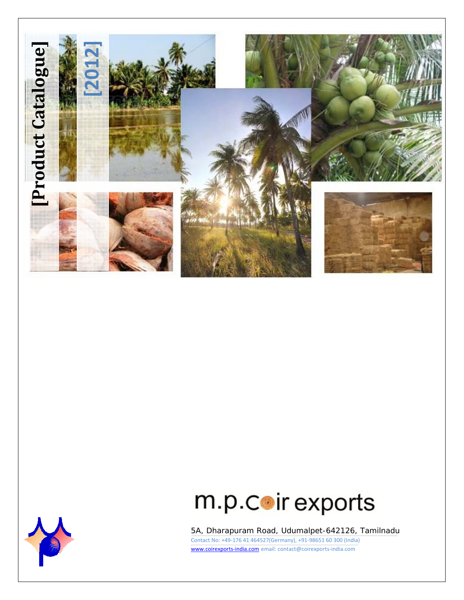



5A, Dharapuram Road, Udumalpet-642126, Tamilnadu Contact No: +49‐176 41 464527(Germany), +91‐98651 60 300 (India) www.coirexports‐india.com email: contact@coirexports‐india.com

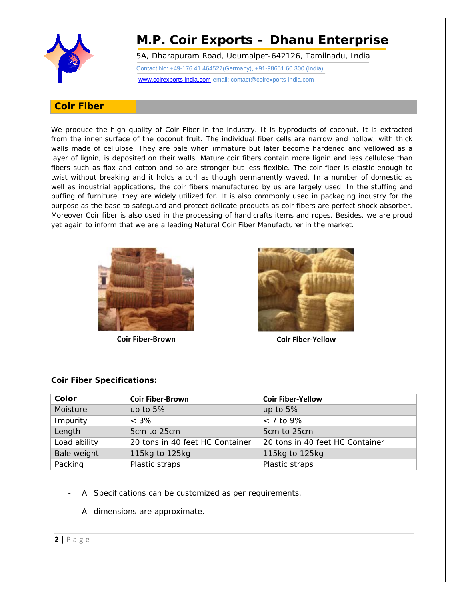

5A, Dharapuram Road, Udumalpet-642126, Tamilnadu, India

Contact No: +49-176 41 464527(Germany), +91-98651 60 300 (India)

www.coirexports-india.com email: contact@coirexports-india.com

### **Coir Fiber**

We produce the high quality of Coir Fiber in the industry. It is byproducts of coconut. It is extracted from the inner surface of the coconut fruit. The individual fiber cells are narrow and hollow, with thick walls made of cellulose. They are pale when immature but later become hardened and yellowed as a layer of lignin, is deposited on their walls. Mature coir fibers contain more lignin and less cellulose than fibers such as flax and cotton and so are stronger but less flexible. The coir fiber is elastic enough to twist without breaking and it holds a curl as though permanently waved. In a number of domestic as well as industrial applications, the coir fibers manufactured by us are largely used. In the stuffing and puffing of furniture, they are widely utilized for. It is also commonly used in packaging industry for the purpose as the base to safeguard and protect delicate products as coir fibers are perfect shock absorber. Moreover Coir fiber is also used in the processing of handicrafts items and ropes. Besides, we are proud yet again to inform that we are a leading Natural Coir Fiber Manufacturer in the market.



**Coir Fiber‐Brown Coir Fiber‐Yellow**



#### **Coir Fiber Specifications:**

| Color        | <b>Coir Fiber-Brown</b>         | <b>Coir Fiber-Yellow</b>        |
|--------------|---------------------------------|---------------------------------|
| Moisture     | up to $5%$                      | up to $5%$                      |
| Impurity     | $< 3\%$                         | $<$ 7 to 9%                     |
| Length       | 5cm to 25cm                     | 5cm to 25cm                     |
| Load ability | 20 tons in 40 feet HC Container | 20 tons in 40 feet HC Container |
| Bale weight  | 115kg to 125kg                  | 115kg to 125kg                  |
| Packing      | Plastic straps                  | Plastic straps                  |

- All Specifications can be customized as per requirements.
- All dimensions are approximate.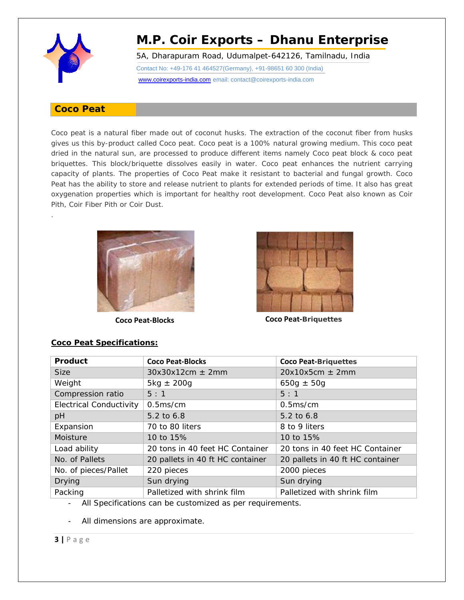

.

# **M.P. Coir Exports – Dhanu Enterprise**

5A, Dharapuram Road, Udumalpet-642126, Tamilnadu, India

Contact No: +49-176 41 464527(Germany), +91-98651 60 300 (India)

#### www.coirexports-india.com email: contact@coirexports-india.com

### **Coco Peat**

Coco peat is a natural fiber made out of coconut husks. The extraction of the coconut fiber from husks gives us this by-product called Coco peat. Coco peat is a 100% natural growing medium. This coco peat dried in the natural sun, are processed to produce different items namely Coco peat block & coco peat briquettes. This block/briquette dissolves easily in water. Coco peat enhances the nutrient carrying capacity of plants. The properties of Coco Peat make it resistant to bacterial and fungal growth. Coco Peat has the ability to store and release nutrient to plants for extended periods of time. It also has great oxygenation properties which is important for healthy root development. Coco Peat also known as Coir Pith, Coir Fiber Pith or Coir Dust.





**Coco Peat‐Blocks Coco Peat‐Briquettes**

| Product                        | <b>Coco Peat-Blocks</b>          | <b>Coco Peat-Briquettes</b>      |
|--------------------------------|----------------------------------|----------------------------------|
| <b>Size</b>                    | $30x30x12cm \pm 2mm$             | $20x10x5cm \pm 2mm$              |
| Weight                         | $5\text{kg} \pm 200\text{g}$     | $650g \pm 50g$                   |
| Compression ratio              | 5:1                              | 5:1                              |
| <b>Electrical Conductivity</b> | 0.5ms/cm                         | 0.5 <sub>ms/cm</sub>             |
| pH                             | 5.2 to 6.8                       | 5.2 to 6.8                       |
| Expansion                      | 70 to 80 liters                  | 8 to 9 liters                    |
| Moisture                       | 10 to 15%                        | 10 to 15%                        |
| Load ability                   | 20 tons in 40 feet HC Container  | 20 tons in 40 feet HC Container  |
| No. of Pallets                 | 20 pallets in 40 ft HC container | 20 pallets in 40 ft HC container |
| No. of pieces/Pallet           | 220 pieces                       | 2000 pieces                      |
| <b>Drying</b>                  | Sun drying                       | Sun drying                       |
| Packing                        | Palletized with shrink film      | Palletized with shrink film      |

**Coco Peat Specifications:**

All Specifications can be customized as per requirements.

All dimensions are approximate.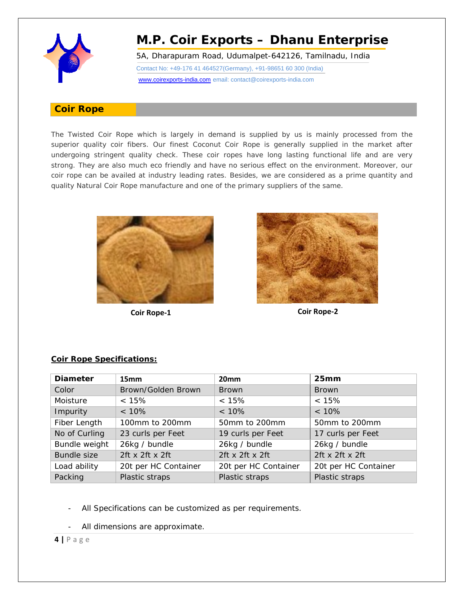

5A, Dharapuram Road, Udumalpet-642126, Tamilnadu, India

Contact No: +49-176 41 464527(Germany), +91-98651 60 300 (India)

#### www.coirexports-india.com email: contact@coirexports-india.com

#### **Coir Rope**

The Twisted Coir Rope which is largely in demand is supplied by us is mainly processed from the superior quality coir fibers. Our finest Coconut Coir Rope is generally supplied in the market after undergoing stringent quality check. These coir ropes have long lasting functional life and are very strong. They are also much eco friendly and have no serious effect on the environment. Moreover, our coir rope can be availed at industry leading rates. Besides, we are considered as a prime quantity and quality Natural Coir Rope manufacture and one of the primary suppliers of the same.





**Coir Rope‐1 Coir Rope‐2**

#### **Coir Rope Specifications:**

| <b>Diameter</b>    | 15 <sub>mm</sub>     | 20 <sub>mm</sub>     | 25mm                 |
|--------------------|----------------------|----------------------|----------------------|
| Color              | Brown/Golden Brown   | <b>Brown</b>         | <b>Brown</b>         |
| Moisture           | < 15%                | < 15%                | < 15%                |
| Impurity           | $< 10\%$             | $< 10\%$             | $< 10\%$             |
| Fiber Length       | 100mm to 200mm       | 50mm to 200mm        | 50mm to 200mm        |
| No of Curling      | 23 curls per Feet    | 19 curls per Feet    | 17 curls per Feet    |
| Bundle weight      | 26kg / bundle        | 26kg / bundle        | 26kg / bundle        |
| <b>Bundle size</b> | 2ft x 2ft x 2ft      | 2ft x 2ft x 2ft      | 2ft x 2ft x 2ft      |
| Load ability       | 20t per HC Container | 20t per HC Container | 20t per HC Container |
| Packing            | Plastic straps       | Plastic straps       | Plastic straps       |

- All Specifications can be customized as per requirements.
- All dimensions are approximate.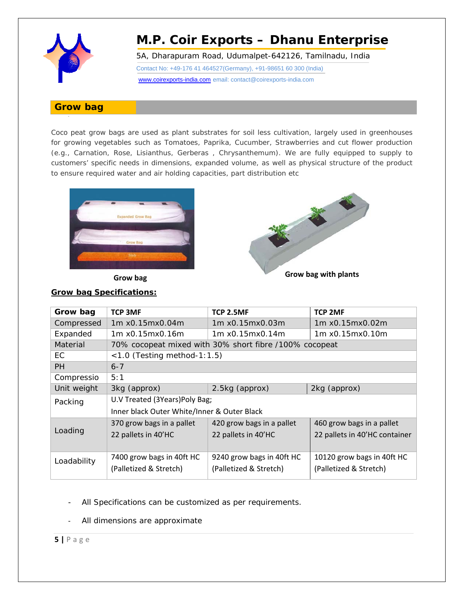

5A, Dharapuram Road, Udumalpet-642126, Tamilnadu, India

Contact No: +49-176 41 464527(Germany), +91-98651 60 300 (India)

www.coirexports-india.com email: contact@coirexports-india.com

### **Grow bag**

-

Coco peat grow bags are used as plant substrates for soil less cultivation, largely used in greenhouses for growing vegetables such as Tomatoes, Paprika, Cucumber, Strawberries and cut flower production (e.g., Carnation, Rose, Lisianthus, Gerberas , Chrysanthemum). We are fully equipped to supply to customers' specific needs in dimensions, expanded volume, as well as physical structure of the product to ensure required water and air holding capacities, part distribution etc





**Grow bag Grow bag with plants**

### **Grow bag Specifications:**

| <b>TCP 3MF</b>                                         | TCP 2.5MF                 | <b>TCP 2MF</b>                |  |
|--------------------------------------------------------|---------------------------|-------------------------------|--|
| 1m x0.15mx0.04m                                        | 1m x0.15mx0.03m           | 1m x0.15mx0.02m               |  |
| 1m x0.15mx0.16m                                        | 1m x0.15mx0.14m           | 1m x0.15mx0.10m               |  |
| 70% cocopeat mixed with 30% short fibre /100% cocopeat |                           |                               |  |
| $<$ 1.0 (Testing method-1:1.5)                         |                           |                               |  |
| $6 - 7$                                                |                           |                               |  |
| 5:1                                                    |                           |                               |  |
| 3kg (approx)                                           | 2.5kg (approx)            | 2kg (approx)                  |  |
| U.V Treated (3Years)Poly Bag;                          |                           |                               |  |
| Inner black Outer White/Inner & Outer Black            |                           |                               |  |
| 370 grow bags in a pallet                              | 420 grow bags in a pallet | 460 grow bags in a pallet     |  |
| 22 pallets in 40'HC                                    | 22 pallets in 40'HC       | 22 pallets in 40'HC container |  |
|                                                        |                           |                               |  |
| 7400 grow bags in 40ft HC                              | 9240 grow bags in 40ft HC | 10120 grow bags in 40ft HC    |  |
| (Palletized & Stretch)                                 | (Palletized & Stretch)    | (Palletized & Stretch)        |  |
|                                                        |                           |                               |  |

- All Specifications can be customized as per requirements.
- All dimensions are approximate